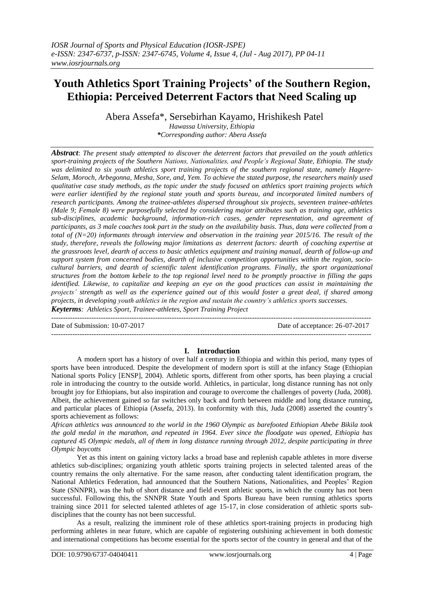# **Youth Athletics Sport Training Projects' of the Southern Region, Ethiopia: Perceived Deterrent Factors that Need Scaling up**

Abera Assefa\*, Sersebirhan Kayamo, Hrishikesh Patel

*Hawassa University, Ethiopia \*Corresponding author: Abera Assefa*

*Abstract*: *The present study attempted to discover the deterrent factors that prevailed on the youth athletics sport-training projects of the Southern Nations, Nationalities, and People's Regional State, Ethiopia. The study was delimited to six youth athletics sport training projects of the southern regional state, namely Hagere-Selam, Moroch, Arbegonna, Mesha, Sore, and, Yem. To achieve the stated purpose, the researchers mainly used qualitative case study methods, as the topic under the study focused on athletics sport training projects which were earlier identified by the regional state youth and sports bureau, and incorporated limited numbers of research participants. Among the trainee-athletes dispersed throughout six projects, seventeen trainee-athletes (Male 9; Female 8) were purposefully selected by considering major attributes such as training age, athletics sub-disciplines, academic background, information-rich cases, gender representation, and agreement of participants, as 3 male coaches took part in the study on the availability basis. Thus, data were collected from a total of (N=20) informants through interview and observation in the training year 2015/16. The result of the study, therefore, reveals the following major limitations as deterrent factors: dearth of coaching expertise at the grassroots level, dearth of access to basic athletics equipment and training manual, dearth of follow-up and support system from concerned bodies, dearth of inclusive competition opportunities within the region, sociocultural barriers, and dearth of scientific talent identification programs. Finally, the sport organizational structures from the bottom kebele to the top regional level need to be promptly proactive in filling the gaps identified. Likewise, to capitalize and keeping an eye on the good practices can assist in maintaining the projects' strength as well as the experience gained out of this would foster a great deal, if shared among projects, in developing youth athletics in the region and sustain the country's athletics sports successes. Keyterms: Athletics Sport, Trainee-athletes, Sport Training Project*

Date of Submission: 10-07-2017 Date of acceptance: 26-07-2017 ---------------------------------------------------------------------------------------------------------------------------------------

---------------------------------------------------------------------------------------------------------------------------------------

## **I. Introduction**

A modern sport has a history of over half a century in Ethiopia and within this period, many types of sports have been introduced. Despite the development of modern sport is still at the infancy Stage (Ethiopian National sports Policy [ENSP], 2004). Athletic sports, different from other sports, has been playing a crucial role in introducing the country to the outside world. Athletics, in particular, long distance running has not only brought joy for Ethiopians, but also inspiration and courage to overcome the challenges of poverty (Juda, 2008). Albeit, the achievement gained so far switches only back and forth between middle and long distance running, and particular places of Ethiopia (Assefa, 2013). In conformity with this, Juda (2008) asserted the country's sports achievement as follows:

*African athletics was announced to the world in the 1960 Olympic as barefooted Ethiopian Abebe Bikila took the gold medal in the marathon, and repeated in 1964. Ever since the floodgate was opened, Ethiopia has captured 45 Olympic medals, all of them in long distance running through 2012, despite participating in three Olympic boycotts*

Yet as this intent on gaining victory lacks a broad base and replenish capable athletes in more diverse athletics sub-disciplines; organizing youth athletic sports training projects in selected talented areas of the country remains the only alternative. For the same reason, after conducting talent identification program, the National Athletics Federation, had announced that the Southern Nations, Nationalities, and Peoples' Region State (SNNPR), was the hub of short distance and field event athletic sports, in which the county has not been successful. Following this, the SNNPR State Youth and Sports Bureau have been running athletics sports training since 2011 for selected talented athletes of age 15-17, in close consideration of athletic sports subdisciplines that the county has not been successful.

As a result, realizing the imminent role of these athletics sport-training projects in producing high performing athletes in near future, which are capable of registering outshining achievement in both domestic and international competitions has become essential for the sports sector of the country in general and that of the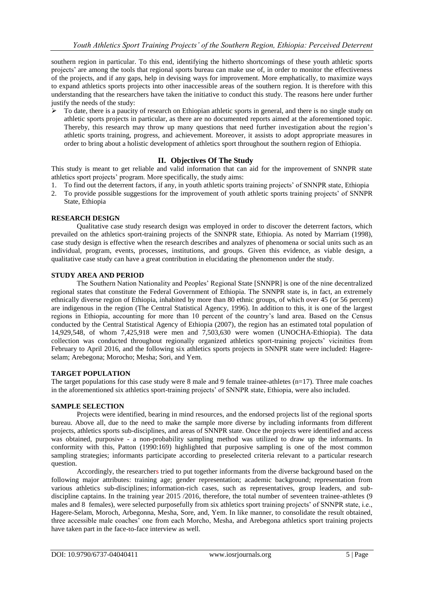southern region in particular. To this end, identifying the hitherto shortcomings of these youth athletic sports projects' are among the tools that regional sports bureau can make use of, in order to monitor the effectiveness of the projects, and if any gaps, help in devising ways for improvement. More emphatically, to maximize ways to expand athletics sports projects into other inaccessible areas of the southern region. It is therefore with this understanding that the researchers have taken the initiative to conduct this study. The reasons here under further justify the needs of the study:

 $\triangleright$  To date, there is a paucity of research on Ethiopian athletic sports in general, and there is no single study on athletic sports projects in particular, as there are no documented reports aimed at the aforementioned topic. Thereby, this research may throw up many questions that need further investigation about the region's athletic sports training, progress, and achievement. Moreover, it assists to adopt appropriate measures in order to bring about a holistic development of athletics sport throughout the southern region of Ethiopia.

## **II. Objectives Of The Study**

This study is meant to get reliable and valid information that can aid for the improvement of SNNPR state athletics sport projects' program. More specifically, the study aims:

- 1. To find out the deterrent factors, if any, in youth athletic sports training projects' of SNNPR state, Ethiopia
- 2. To provide possible suggestions for the improvement of youth athletic sports training projects' of SNNPR State, Ethiopia

## **RESEARCH DESIGN**

Qualitative case study research design was employed in order to discover the deterrent factors, which prevailed on the athletics sport-training projects of the SNNPR state, Ethiopia. As noted by Marriam (1998), case study design is effective when the research describes and analyzes of phenomena or social units such as an individual, program, events, processes, institutions, and groups. Given this evidence, as viable design, a qualitative case study can have a great contribution in elucidating the phenomenon under the study.

## **STUDY AREA AND PERIOD**

The Southern Nation Nationality and Peoples' Regional State [SNNPR] is one of the nine decentralized regional states that constitute the Federal Government of Ethiopia. The SNNPR state is, in fact, an extremely ethnically diverse region of Ethiopia, inhabited by more than 80 ethnic groups, of which over 45 (or 56 percent) are indigenous in the region (The Central Statistical Agency, 1996). In addition to this, it is one of the largest regions in Ethiopia, accounting for more than 10 percent of the country's land area. Based on the Census conducted by the Central Statistical Agency of Ethiopia (2007), the region has an estimated total population of 14,929,548, of whom 7,425,918 were men and 7,503,630 were women (UNOCHA-Ethiopia). The data collection was conducted throughout regionally organized athletics sport-training projects' vicinities from February to April 2016, and the following six athletics sports projects in SNNPR state were included: Hagereselam; Arebegona; Morocho; Mesha; Sori, and Yem.

## **TARGET POPULATION**

The target populations for this case study were 8 male and 9 female trainee-athletes  $(n=17)$ . Three male coaches in the aforementioned six athletics sport-training projects' of SNNPR state, Ethiopia, were also included.

#### **SAMPLE SELECTION**

Projects were identified, bearing in mind resources, and the endorsed projects list of the regional sports bureau. Above all, due to the need to make the sample more diverse by including informants from different projects, athletics sports sub-disciplines, and areas of SNNPR state. Once the projects were identified and access was obtained, purposive - a non-probability sampling method was utilized to draw up the informants. In conformity with this, Patton (1990:169) highlighted that purposive sampling is one of the most common sampling strategies; informants participate according to preselected criteria relevant to a particular research question.

Accordingly, the researchers tried to put together informants from the diverse background based on the following major attributes: training age; gender representation; academic background; representation from various athletics sub-disciplines; information-rich cases, such as representatives, group leaders, and subdiscipline captains. In the training year 2015 /2016, therefore, the total number of seventeen trainee-athletes (9 males and 8 females), were selected purposefully from six athletics sport training projects' of SNNPR state, i.e., Hagere-Selam, Moroch, Arbegonna, Mesha, Sore, and, Yem. In like manner, to consolidate the result obtained, three accessible male coaches' one from each Morcho, Mesha, and Arebegona athletics sport training projects have taken part in the face-to-face interview as well.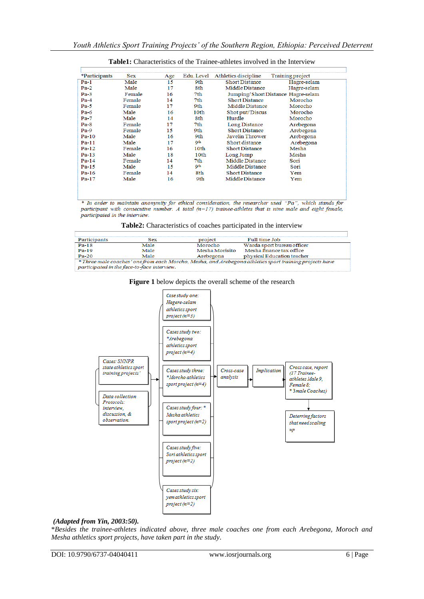| *Participants | <b>Sex</b> | Age | Edu. Level       | Athletics discipline  | Training project                  |
|---------------|------------|-----|------------------|-----------------------|-----------------------------------|
| $Pa-1$        | Male       | 15  | 9th              | <b>Short Distance</b> | Hagre-selam                       |
| $Pa-2$        | Male       | 17  | 8th              | Middle Distance       | Hagre-selam                       |
| $Pa-3$        | Female     | 16  | 7th              |                       | Jumping/ShortDistance Hagre-selam |
| $Pa-4$        | Female     | 14  | 7th              | <b>Short Distance</b> | Morocho                           |
| $Pa-5$        | Female     | 17  | 9th              | Middle Distance       | Morocho                           |
| $Pa-6$        | Male       | 16  | 10th             | Shot put/Discus       | Morocho                           |
| $Pa-7$        | Male       | 14  | 8th              | Hurdle                | Morocho                           |
| $Pa-8$        | Female     | 17  | 7th              | Long Distance         | Arebegona                         |
| $Pa-9$        | Female     | 15  | 9th              | <b>Short Distance</b> | Arebegona                         |
| $Pa-10$       | Male       | 16  | 9th              | Javelin Thrower       | Arebegona                         |
| $Pa-11$       | Male       | 17  | Qth              | Short distance        | Arebegona                         |
| $Pa-12$       | Female     | 16  | 10th             | <b>Short Distance</b> | Mesha                             |
| $Pa-13$       | Male       | 18  | 10 <sub>th</sub> | Long Jump             | Mesha                             |
| $Pa-14$       | Female     | 14  | 7th              | Middle Distance       | Sori                              |
| $Pa-15$       | Male       | 15  | <b>9th</b>       | Middle Distance       | Sori                              |
| $Pa-16$       | Female     | 14  | 8th              | <b>Short Distance</b> | Yem                               |
| $Pa-17$       | Male       | 16  | 9th              | Middle Distance       | Yem                               |

## **Table1:** Characteristics of the Trainee-athletes involved in the Interview

\* In order to maintain anonymity for ethical consideration, the researcher used "Pa", which stands for participant with consecutive number. A total  $(n=17)$  trainee-athletes that is nine male and eight female, participated in the interview.

| Table2: Characteristics of coaches participated in the interview |  |  |
|------------------------------------------------------------------|--|--|
|                                                                  |  |  |

| Participants                                | <b>Sex</b>                                                                                              | project        | Full time Job              |  |  |  |  |
|---------------------------------------------|---------------------------------------------------------------------------------------------------------|----------------|----------------------------|--|--|--|--|
| $Pa-18$                                     | Male                                                                                                    | Morocho        | Warda sport bureau officer |  |  |  |  |
| $Pa-19$                                     | Male                                                                                                    | Mesha Morisito | Mesha finance tax office   |  |  |  |  |
| $Pa-20$                                     | Male                                                                                                    | Arebegona      | physical Education teacher |  |  |  |  |
|                                             | * Three male coaches' one from each Morcho, Mesha, and Arebegona athletics sport training projects have |                |                            |  |  |  |  |
| participated in the face-to-face interview. |                                                                                                         |                |                            |  |  |  |  |





#### *(Adapted from Yin, 2003:50).*

\**Besides the trainee-athletes indicated above, three male coaches one from each Arebegona, Moroch and Mesha athletics sport projects, have taken part in the study.*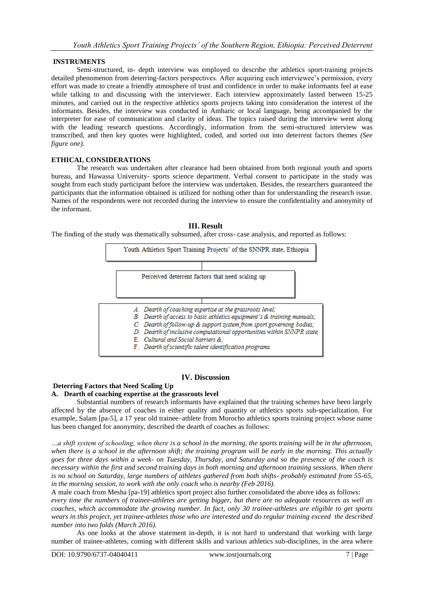## **INSTRUMENTS**

Semi-structured, in- depth interview was employed to describe the athletics sport-training projects detailed phenomenon from deterring-factors perspectives. After acquiring each interviewee's permission, every effort was made to create a friendly atmosphere of trust and confidence in order to make informants feel at ease while talking to and discussing with the interviewer. Each interview approximately lasted between 15-25 minutes, and carried out in the respective athletics sports projects taking into consideration the interest of the informants. Besides, the interview was conducted in Amharic or local language, being accompanied by the interpreter for ease of communication and clarity of ideas. The topics raised during the interview went along with the leading research questions. Accordingly, information from the semi-structured interview was transcribed, and then key quotes were highlighted, coded, and sorted out into deterrent factors themes *(See figure one).*

## **ETHICAL CONSIDERATIONS**

The research was undertaken after clearance had been obtained from both regional youth and sports bureau, and Hawassa University- sports science department. Verbal consent to participate in the study was sought from each study participant before the interview was undertaken. Besides, the researchers guaranteed the participants that the information obtained is utilized for nothing other than for understanding the research issue. Names of the respondents were not recorded during the interview to ensure the confidentiality and anonymity of the informant.

#### **III. Result**

The finding of the study was thematically subsumed, after cross- case analysis, and reported as follows:



## **IV. Discussion**

## **Deterring Factors that Need Scaling Up**

## **A. Dearth of coaching expertise at the grassroots level**

Substantial numbers of research informants have explained that the training schemes have been largely affected by the absence of coaches in either quality and quantity or athletics sports sub-specialization. For example, Salam [pa-5], a 17 year old trainee–athlete from Morocho athletics sports training project whose name has been changed for anonymity, described the dearth of coaches as follows:

*…a shift system of schooling, when there is a school in the morning, the sports training will be in the afternoon, when there is a school in the afternoon shift; the training program will be early in the morning. This actually goes for three days within a week- on Tuesday, Thursday, and Saturday and so the presence of the coach is necessary within the first and second training days in both morning and afternoon training sessions. When there is no school on Saturday, large numbers of athletes gathered from both shifts- probably estimated from 55-65, in the morning session, to work with the only coach who is nearby (Feb 2016).*

A male coach from Mesha [pa-19] athletics sport project also further consolidated the above idea as follows:

*every time the numbers of trainee-athletes are getting bigger, but there are no adequate resources as well as coaches, which accommodate the growing number. In fact, only 30 trainee-athletes are eligible to get sports wears in this project, yet trainee-athletes those who are interested and do regular training exceed the described number into two folds (March 2016).*

As one looks at the above statement in-depth, it is not hard to understand that working with large number of trainee-athletes, coming with different skills and various athletics sub-disciplines, in the area where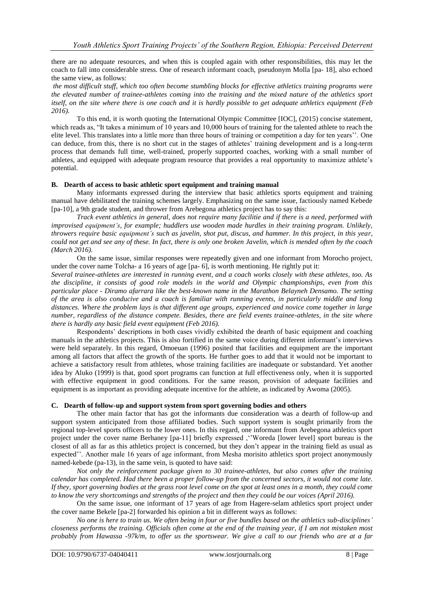there are no adequate resources, and when this is coupled again with other responsibilities, this may let the coach to fall into considerable stress. One of research informant coach, pseudonym Molla [pa- 18], also echoed the same view, as follows:

*the most difficult stuff, which too often become stumbling blocks for effective athletics training programs were the elevated number of trainee-athletes coming into the training and the mixed nature of the athletics sport itself, on the site where there is one coach and it is hardly possible to get adequate athletics equipment (Feb 2016).*

To this end, it is worth quoting the International Olympic Committee [IOC], (2015) concise statement, which reads as, "It takes a minimum of 10 years and 10,000 hours of training for the talented athlete to reach the elite level. This translates into a little more than three hours of training or competition a day for ten years''. One can deduce, from this, there is no short cut in the stages of athletes' training development and is a long-term process that demands full time, well-trained, properly supported coaches, working with a small number of athletes, and equipped with adequate program resource that provides a real opportunity to maximize athlete's potential.

## **B. Dearth of access to basic athletic sport equipment and training manual**

Many informants expressed during the interview that basic athletics sports equipment and training manual have debilitated the training schemes largely. Emphasizing on the same issue, factiously named Kebede [pa-10], a 9th grade student, and thrower from Arebegona athletics project has to say this:

*Track event athletics in general, does not require many facilitie and if there is a need, performed with improvised equipment's, for example; huddlers use wooden made hurdles in their training program. Unlikely, throwers require basic equipment's such as javelin, shot put, discus, and hammer. In this project, in this year, could not get and see any of these. In fact, there is only one broken Javelin, which is mended often by the coach (March 2016).*

On the same issue, similar responses were repeatedly given and one informant from Morocho project, under the cover name Tolcha- a 16 years of age [pa- 6], is worth mentioning. He rightly put it:

*Several trainee-athletes are interested in running event, and a coach works closely with these athletes, too. As the discipline, it consists of good role models in the world and Olympic championships, even from this particular place - Diramo afarrara like the best-known name in the Marathon Belayneh Densamo. The setting of the area is also conducive and a coach is familiar with running events, in particularly middle and long distances. Where the problem lays is that different age groups, experienced and novice come together in large number, regardless of the distance compete. Besides, there are field events trainee-athletes, in the site where there is hardly any basic field event equipment (Feb 2016).*

Respondents' descriptions in both cases vividly exhibited the dearth of basic equipment and coaching manuals in the athletics projects. This is also fortified in the same voice during different informant's interviews were held separately. In this regard, Omoeuan (1996) posited that facilities and equipment are the important among all factors that affect the growth of the sports. He further goes to add that it would not be important to achieve a satisfactory result from athletes, whose training facilities are inadequate or substandard. Yet another idea by Aluko (1999) is that, good sport programs can function at full effectiveness only, when it is supported with effective equipment in good conditions. For the same reason, provision of adequate facilities and equipment is as important as providing adequate incentive for the athlete, as indicated by Awoma (2005).

## **C. Dearth of follow-up and support system from sport governing bodies and others**

The other main factor that has got the informants due consideration was a dearth of follow-up and support system anticipated from those affiliated bodies. Such support system is sought primarily from the regional top-level sports officers to the lower ones. In this regard, one informant from Arebegona athletics sport project under the cover name Berhaney [pa-11] briefly expressed ,''Woreda [lower level] sport bureau is the closest of all as far as this athletics project is concerned, but they don't appear in the training field as usual as expected''. Another male 16 years of age informant, from Mesha morisito athletics sport project anonymously named-kebede (pa-13), in the same vein, is quoted to have said:

*Not only the reinforcement package given to 30 trainee-athletes, but also comes after the training calendar has completed. Had there been a proper follow-up from the concerned sectors, it would not come late. If they, sport governing bodies at the grass root level come on the spot at least ones in a month, they could come to know the very shortcomings and strengths of the project and then they could be our voices (April 2016).*

On the same issue, one informant of 17 years of age from Hagere-selam athletics sport project under the cover name Bekele [pa-2] forwarded his opinion a bit in different ways as follows:

*No one is here to train us. We often being in four or five bundles based on the athletics sub-disciplines' closeness performs the training. Officials often come at the end of the training year, if I am not mistaken most probably from Hawassa -97k/m, to offer us the sportswear. We give a call to our friends who are at a far*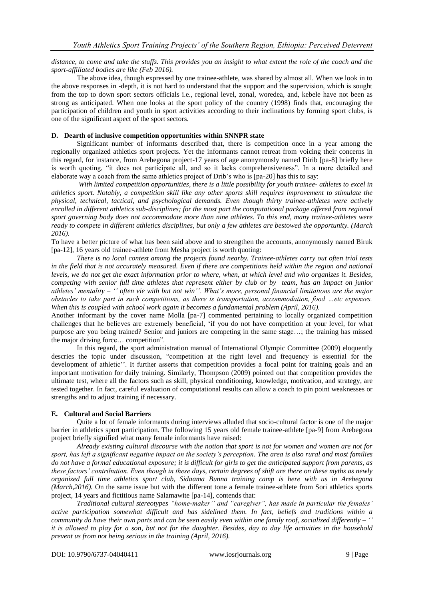### *distance, to come and take the stuffs. This provides you an insight to what extent the role of the coach and the sport-affiliated bodies are like (Feb 2016).*

The above idea, though expressed by one trainee-athlete, was shared by almost all. When we look in to the above responses in -depth, it is not hard to understand that the support and the supervision, which is sought from the top to down sport sectors officials i.e., regional level, zonal, woredea, and, kebele have not been as strong as anticipated. When one looks at the sport policy of the country (1998) finds that, encouraging the participation of children and youth in sport activities according to their inclinations by forming sport clubs, is one of the significant aspect of the sport sectors.

## **D. Dearth of inclusive competition opportunities within SNNPR state**

Significant number of informants described that, there is competition once in a year among the regionally organized athletics sport projects. Yet the informants cannot retreat from voicing their concerns in this regard, for instance, from Arebegona project-17 years of age anonymously named Dirib [pa-8] briefly here is worth quoting, "it does not participate all, and so it lacks comprehensiveness". In a more detailed and elaborate way a coach from the same athletics project of Drib's who is [pa-20] has this to say:

*With limited competition opportunities, there is a little possibility for youth trainee- athletes to excel in athletics sport. Notably, a competition skill like any other sports skill requires improvement to stimulate the physical, technical, tactical, and psychological demands. Even though thirty trainee-athletes were actively enrolled in different athletics sub-disciplines; for the most part the computational package offered from regional sport governing body does not accommodate more than nine athletes. To this end, many trainee-athletes were ready to compete in different athletics disciplines, but only a few athletes are bestowed the opportunity. (March 2016).*

To have a better picture of what has been said above and to strengthen the accounts, anonymously named Biruk [pa-12], 16 years old trainee-athlete from Mesha project is worth quoting:

*There is no local contest among the projects found nearby. Trainee-athletes carry out often trial tests in the field that is not accurately measured. Even if there are competitions held within the region and national levels, we do not get the exact information prior to where, when, at which level and who organizes it. Besides, competing with senior full time athletes that represent either by club or by team, has an impact on junior athletes' mentality – '' often vie with but not win''. What's more, personal financial limitations are the major obstacles to take part in such competitions, as there is transportation, accommodation, food …etc expenses. When this is coupled with school work again it becomes a fundamental problem (April, 2016).*

Another informant by the cover name Molla [pa-7] commented pertaining to locally organized competition challenges that he believes are extremely beneficial, 'if you do not have competition at your level, for what purpose are you being trained? Senior and juniors are competing in the same stage…; the training has missed the major driving force… competition".

In this regard, the sport administration manual of International Olympic Committee (2009) eloquently descries the topic under discussion, "competition at the right level and frequency is essential for the development of athletic''. It further asserts that competition provides a focal point for training goals and an important motivation for daily training. Similarly, Thompson (2009) pointed out that competition provides the ultimate test, where all the factors such as skill, physical conditioning, knowledge, motivation, and strategy, are tested together. In fact, careful evaluation of computational results can allow a coach to pin point weaknesses or strengths and to adjust training if necessary.

## **E. Cultural and Social Barriers**

Quite a lot of female informants during interviews alluded that socio-cultural factor is one of the major barrier in athletics sport participation. The following 15 years old female trainee-athlete [pa-9] from Arebegona project briefly signified what many female informants have raised:

*Already existing cultural discourse with the notion that sport is not for women and women are not for sport, has left a significant negative impact on the society's perception. The area is also rural and most families do not have a formal educational exposure; it is difficult for girls to get the anticipated support from parents, as these factors' contribution. Even though in these days, certain degrees of shift are there on these myths as newly organized full time athletics sport club, Sidaama Bunna training camp is here with us in Arebegona (March,2016).* On the same issue but with the different tone a female trainee-athlete from Sori athletics sports project, 14 years and fictitious name Salamawite [pa-14], contends that:

*Traditional cultural stereotypes "home-maker'' and "caregiver", has made in particular the females' active participation somewhat difficult and has sidelined them. In fact, beliefs and traditions within a community do have their own parts and can be seen easily even within one family roof, socialized differently – '' it is allowed to play for a son, but not for the daughter. Besides, day to day life activities in the household prevent us from not being serious in the training (April, 2016).*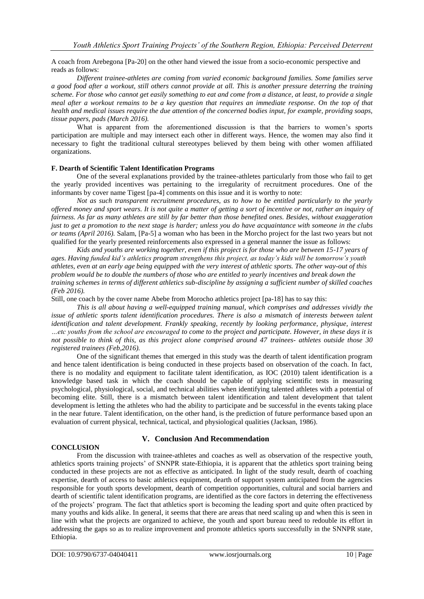A coach from Arebegona [Pa-20] on the other hand viewed the issue from a socio-economic perspective and reads as follows:

*Different trainee-athletes are coming from varied economic background families. Some families serve a good food after a workout, still others cannot provide at all. This is another pressure deterring the training scheme. For those who cannot get easily something to eat and come from a distance, at least, to provide a single meal after a workout remains to be a key question that requires an immediate response. On the top of that health and medical issues require the due attention of the concerned bodies input, for example, providing soaps, tissue papers, pads (March 2016).*

What is apparent from the aforementioned discussion is that the barriers to women's sports participation are multiple and may intersect each other in different ways. Hence, the women may also find it necessary to fight the traditional cultural stereotypes believed by them being with other women affiliated organizations.

## **F. Dearth of Scientific Talent Identification Programs**

One of the several explanations provided by the trainee-athletes particularly from those who fail to get the yearly provided incentives was pertaining to the irregularity of recruitment procedures. One of the informants by cover name Tigest [pa-4] comments on this issue and it is worthy to note:

*Not as such transparent recruitment procedures, as to how to be entitled particularly to the yearly offered money and sport wears. It is not quite a matter of getting a sort of incentive or not, rather an inquiry of fairness. As far as many athletes are still by far better than those benefited ones. Besides, without exaggeration just to get a promotion to the next stage is harder; unless you do have acquaintance with someone in the clubs or teams (April 2016).* Salam, [Pa-5] a woman who has been in the Morcho project for the last two years but not qualified for the yearly presented reinforcements also expressed in a general manner the issue as follows:

*Kids and youths are working together, even if this project is for those who are between 15-17 years of ages. Having funded kid's athletics program strengthens this project, as today's kids will be tomorrow's youth athletes, even at an early age being equipped with the very interest of athletic sports. The other way-out of this problem would be to double the numbers of those who are entitled to yearly incentives and break down the training schemes in terms of different athletics sub-discipline by assigning a sufficient number of skilled coaches (Feb 2016).*

Still, one coach by the cover name Abebe from Morocho athletics project [pa-18] has to say this:

*This is all about having a well-equipped training manual, which comprises and addresses vividly the issue of athletic sports talent identification procedures. There is also a mismatch of interests between talent identification and talent development. Frankly speaking, recently by looking performance, physique, interest …etc youths from the school are encouraged to come to the project and participate. However, in these days it is not possible to think of this, as this project alone comprised around 47 trainees- athletes outside those 30 registered trainees (Feb,2016).* 

One of the significant themes that emerged in this study was the dearth of talent identification program and hence talent identification is being conducted in these projects based on observation of the coach. In fact, there is no modality and equipment to facilitate talent identification, as IOC (2010) talent identification is a knowledge based task in which the coach should be capable of applying scientific tests in measuring psychological, physiological, social, and technical abilities when identifying talented athletes with a potential of becoming elite. Still, there is a mismatch between talent identification and talent development that talent development is letting the athletes who had the ability to participate and be successful in the events taking place in the near future. Talent identification, on the other hand, is the prediction of future performance based upon an evaluation of current physical, technical, tactical, and physiological qualities (Jacksan, 1986).

## **V. Conclusion And Recommendation**

## **CONCLUSION**

From the discussion with trainee-athletes and coaches as well as observation of the respective youth, athletics sports training projects' of SNNPR state-Ethiopia, it is apparent that the athletics sport training being conducted in these projects are not as effective as anticipated. In light of the study result, dearth of coaching expertise, dearth of access to basic athletics equipment, dearth of support system anticipated from the agencies responsible for youth sports development, dearth of competition opportunities, cultural and social barriers and dearth of scientific talent identification programs, are identified as the core factors in deterring the effectiveness of the projects' program. The fact that athletics sport is becoming the leading sport and quite often practiced by many youths and kids alike. In general, it seems that there are areas that need scaling up and when this is seen in line with what the projects are organized to achieve, the youth and sport bureau need to redouble its effort in addressing the gaps so as to realize improvement and promote athletics sports successfully in the SNNPR state, Ethiopia.